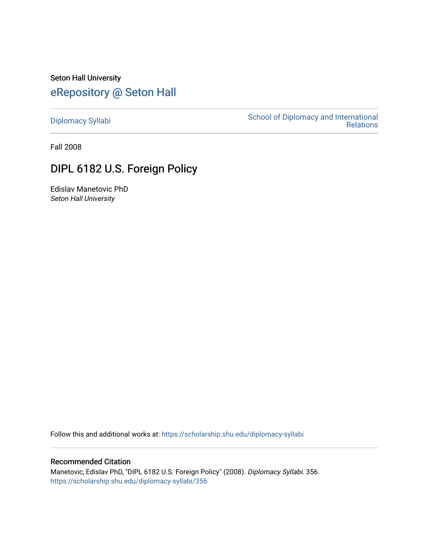Seton Hall University [eRepository @ Seton Hall](https://scholarship.shu.edu/)

[Diplomacy Syllabi](https://scholarship.shu.edu/diplomacy-syllabi) [School of Diplomacy and International](https://scholarship.shu.edu/diplomacy)  [Relations](https://scholarship.shu.edu/diplomacy) 

Fall 2008

# DIPL 6182 U.S. Foreign Policy

Edislav Manetovic PhD Seton Hall University

Follow this and additional works at: [https://scholarship.shu.edu/diplomacy-syllabi](https://scholarship.shu.edu/diplomacy-syllabi?utm_source=scholarship.shu.edu%2Fdiplomacy-syllabi%2F356&utm_medium=PDF&utm_campaign=PDFCoverPages) 

# Recommended Citation

Manetovic, Edislav PhD, "DIPL 6182 U.S. Foreign Policy" (2008). Diplomacy Syllabi. 356. [https://scholarship.shu.edu/diplomacy-syllabi/356](https://scholarship.shu.edu/diplomacy-syllabi/356?utm_source=scholarship.shu.edu%2Fdiplomacy-syllabi%2F356&utm_medium=PDF&utm_campaign=PDFCoverPages)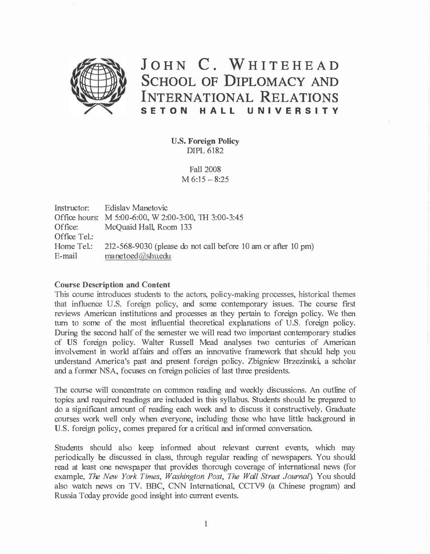

# **JOHN C. WHITEHEAD**  SCHOOL OF **DIPLOMACY AND INTERNATIONAL RELATIONS SETON HALL UNIVERSITY**

U.S. **Foreign Policy**  DIPL 6182

> Fall 2008  $M 6:15 - 8:25$

Instructor: Office hours: M 5:00-6:00, W 2:00-3:00, TH 3:00-3:45 Office: Office Tel.: Home Tel.: E-mail Edislav Manetovic McQuaid Hall, Room 133 212-568-9030 (please do not call before 10 am or after 10 pm) manetoed@shu.edu

#### **Course Description and Content**

This course introduces students to the actors, policy-making processes, historical themes that influence U.S. foreign policy, and some contemporary issues. The course first reviews American institutions and processes as they pertain to foreign policy. We then turn to some of the most influential theoretical explanations of U.S. foreign policy. During the second half of the semester we will read two important contemporary studies of US foreign policy. Walter Russell Mead analyses two centuries of American involvement in world affairs and offers an innovative framework that should help you understand America's past and present foreign policy. Zbigniew Brzezinski, a scholar and a former NSA, focuses on foreign policies of last three presidents.

The course will concentrate on common reading and weekly discussions. An outline of topics and required readings are included in this syllabus. Students should be prepared to do a significant amount of reading each week and to discuss it constructively. Graduate courses work well only when everyone, including those who have little background in U.S. foreign policy, comes prepared for a critical and informed conversation.

Students should also keep informed about relevant current events, which may periodically be discussed in class, through regular reading of newspapers. You should read at least one newspaper that provides thorough coverage of international news (for example, *The New York Times, Washington Post, The Wall Street Journal).* You should also watch news on TV. BBC, CNN International, CCTV9 (a Chinese program) and Russia Today provide good insight into current events.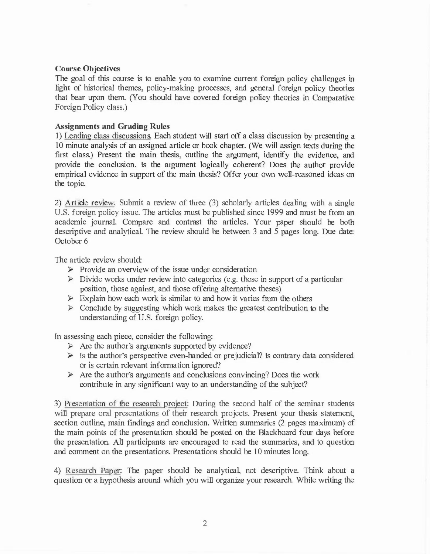# **Course Objectives**

The goal of this course is to enable you to examine current foreign policy challenges in light of historical themes, policy-making processes, and general foreign policy theories that bear upon them. (You should have covered foreign policy theories in Comparative Foreign Policy class.)

# **Assignments and Grading Rules**

1) Leading class discussions. Each student will start off a class discussion by presenting a 10 minute analysis of an assigned article or book chapter. (We will assign texts during the first class.) Present the main thesis, outline the argument, identify the evidence, and provide the conclusion. Is the argument logically coherent? Does the author provide empirical evidence in support of the main thesis? Offer your own well-reasoned ideas on the topic.

2) Article review. Submit a review of three (3) scholarly articles dealing with a single U.S. foreign policy issue. The articles must be published since 1999 and must be from an academic journal. Compare and contrast the articles. Your paper should be both descriptive and analytical. The review should be between 3 and 5 pages long. Due date: October 6

The article review should:

- $\triangleright$  Provide an overview of the issue under consideration
- $\triangleright$  Divide works under review into categories (e.g. those in support of a particular position, those against, and those offering alternative theses)
- $\triangleright$  Explain how each work is similar to and how it varies from the others
- $\triangleright$  Conclude by suggesting which work makes the greatest contribution to the understanding of U.S. foreign policy.

In assessing each piece, consider the following:

- $\triangleright$  Are the author's arguments supported by evidence?
- $\triangleright$  Is the author's perspective even-handed or prejudicial? Is contrary data considered or is certain relevant information ignored?
- $\triangleright$  Are the author's arguments and conclusions convincing? Does the work contribute in any significant way to an understanding of the subject?

3) Presentation of the research project: During the second half of the seminar students will prepare oral presentations of their research projects. Present your thesis statement, section outline, main findings and conclusion. Written summaries (2 pages maximum) of the main points of the presentation should be posted on the Blackboard four days before the presentation. All participants are encouraged to read the summaries, and to question and comment on the presentations. Presentations should be 10 minutes long.

4) Research Paper: The paper should be analytical, not descriptive. Think about a question or a hypothesis around which you will organize your research. While writing the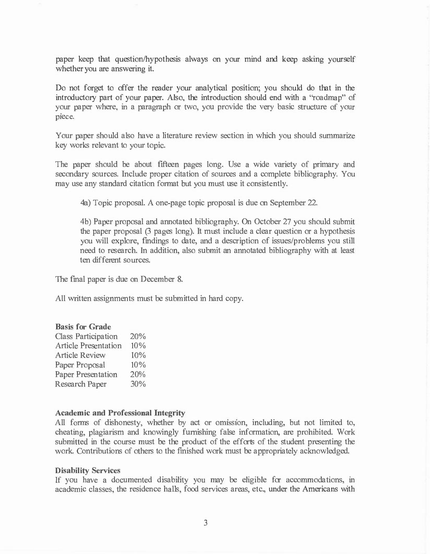paper keep that question/hypothesis always on your mind and keep asking yourself whether you are answering it.

Do not forget to offer the reader your analytical position; you should do that in the introductory part of your paper. Also, the introduction should end with a "roadmap" of your paper where, in a paragraph or two, you provide the very basic structure of your piece.

Your paper should also have a literature review section in which you should summarize key works relevant to your topic.

The paper should be about fifteen pages long. Use a wide variety of primary and secondary sources. Include proper citation of sources and a complete bibliography. You may use any standard citation format but you must use it consistently.

4a) Topic proposal. A one-page topic proposal is due on September 22.

4b) Paper proposal and annotated bibliography. On October 27 you should submit the paper proposal (3 pages long). It must include a clear question or a hypothesis you will explore, findings to date, and a description of issues/problems you still need to research. In addition, also submit an annotated bibliography with at least ten different sources.

The final paper is due on December 8.

All written assignments must be submitted in hard copy.

## **Basis for Grade**

| Class Participation         | 20% |
|-----------------------------|-----|
| <b>Article Presentation</b> | 10% |
| <b>Article Review</b>       | 10% |
| Paper Proposal              | 10% |
| Paper Presentation          | 20% |
| Research Paper              | 30% |

#### **Academic and Professional Integrity**

All forms of dishonesty, whether by act or omrssion, including, but not limited to, cheating, plagiarism and knowingly furnishing false information, are prohibited. Work submitted in the course must be the product of the efforts of the student presenting the work. Contributions of others to the finished work must be appropriately acknowledged.

## **Disability Services**

If you have a documented disability you may be eligible for accommodations, in academic classes, the residence halls, food services areas, etc., under the Americans with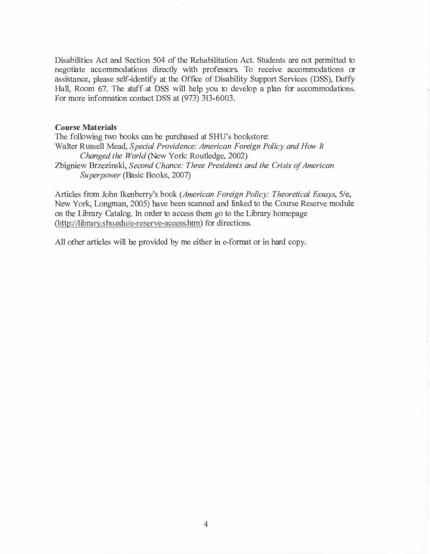Disabilities Act and Section 504 of the Rehabilitation Act. Students are not permitted to negotiate accommodations directly with professors. To receive accommodations or assistance, please self-identify at the Office of Disability Support Services (DSS), Duffy Hall, Room 67. The staff at DSS will help you to develop a plan for accommodations. For more information contact DSS at (973) 313-6003.

#### **Course Materials**

The following two books can be purchased at SHU's bookstore: Walter Russell Mead, *Special Providence: American Foreign Policy and How It Changed the World* (New York: Routledge, 2002) Zbigniew Brzezinski, *Second Chance: Three Presidents and the Crisis of American Superpower* (Basic Books, 2007)

Articles from John lkenberry's book *(American Foreign Policy: Theoretical Essays,* 5/e, New York, Longman, 2005) have been scanned and linked to the Course Reserve module on the Library Catalog. In order to access them go to the Library homepage (http://library.shu.edu/e-reserve-access.htm) for directions.

All other articles will be provided by me either in e-format or in hard copy.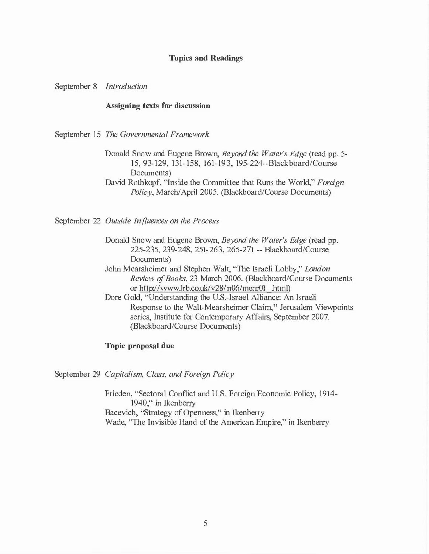#### **Topics and Readings**

September 8 *Introduction* 

#### **Assigning texts for discussion**

September 15 *The Governmental Framework* 

Donald Snow and Eugene Brown, *Beyond the Water's Edge* (read pp. 5- 15, 93-129, 131-158, 161-193, 195-224--Blackboard/Course Documents)

David Rothkopf, "Inside the Committee that Runs the World," *Foreign Policy,* March/April 2005. (Blackboard/Course Documents)

September 22 *Outside Influences on the Process* 

- Donald Snow and Eugene Brown, *Beyond the Water's Edge* (read pp. 225-235, 239-248, 251-263, 265-271 -- Blackboard/Course Documents)
- John Mearsheimer and Stephen Walt, "The Israeli Lobby," *London Review of Books,* 23 March 2006. (Blackboard/Course Documents or http://vvww.Irb.co.uk/v28/n06/mear01 .html)
- Dore Gold, "Understanding the U.S.-Israel Alliance: An Israeli Response to the Walt-Mearsheimer Claim," Jerusalem Viewpoints series, Institute for Contemporary Affairs, September 2007. (Blackboard/Course Documents)

#### **Topic proposal due**

September 29 *Capitalism, Class, and Foreign Policy* 

Frieden, "Sectoral Conflict and U.S. Foreign Economic Policy, 1914- 1940," in Ikenberry Bacevich, "Strategy of Openness," in Ikenberry Wade, "The Invisible Hand of the American Empire," in Ikenberry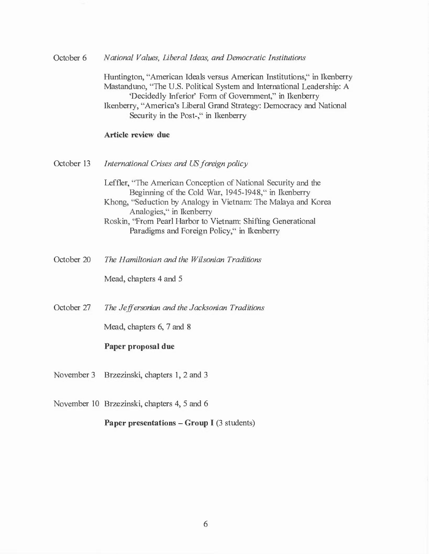October 6 *National Values, Liberal Ideas, and Democratic Institutions* 

> Huntington, "American Ideals versus American Institutions," in Ikenberry Mastanduno, "The U.S. Political System and International Leadership: A 'Decidedly Inferior' Form of Government," in Ikenberry Ikenberry, "America's Liberal Grand Strategy: Democracy and National Security in the Post-," in Ikenberry

## **Article review due**

- October 13 *International Crises and US foreign policy* 
	- Leffler, "The American Conception of National Security and the Beginning of the Cold War, 1945-1948," in Ikenberry Khong, "Seduction by Analogy in Vietnam: The Malaya and Korea Analogies," in Ikenberry
	- Roskin, "From Pearl Harbor to Vietnam: Shifting Generational Paradigms and Foreign Policy," in Ikenberry
- October 20 *The Hamiltonian and the Wilsonian Traditions*

Mead, chapters 4 and 5

October 27 *The Jeffersonian and the Jacksonian Traditions* 

Mead, chapters 6, 7 and 8

#### **Paper proposal due**

November 3 Brzezinski, chapters 1, 2 and 3

November 10 Brzezinski, chapters 4, 5 and 6

**Paper presentations – Group I** (3 students)